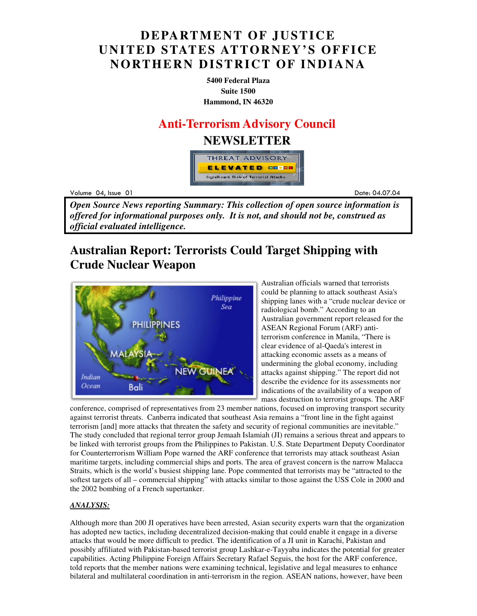## **DEPARTMENT OF JUSTICE UNITED STATES ATTORNEY'S OFFICE NORTHERN DISTRICT OF INDIANA**

**5400 Federal Plaza Suite 1500 Hammond, IN 46320**

### **Anti-Terrorism Advisory Council**

### **NEWSLETTER**



Volume 04

example to the contract of the contract of the contract of the contract of the contract of the contract of the contract of the contract of the contract of the contract of the contract of the contract of the contract of the Date: 04.07.04

*Open Source News reporting Summary: This collection of open source information is offered for informational purposes only. It is not, and should not be, construed as official evaluated intelligence.*

## **Australian Report: Terrorists Could Target Shipping with Crude Nuclear Weapon**



Australian officials warned that terrorists could be planning to attack southeast Asia's shipping lanes with a "crude nuclear device or radiological bomb." According to an Australian government report released for the ASEAN Regional Forum (ARF) antiterrorism conference in Manila, "There is clear evidence of al-Qaeda's interest in attacking economic assets as a means of undermining the global economy, including attacks against shipping." The report did not describe the evidence for its assessments nor indications of the availability of a weapon of mass destruction to terrorist groups. The ARF

conference, comprised of representatives from 23 member nations, focused on improving transport security against terrorist threats. Canberra indicated that southeast Asia remains a "front line in the fight against terrorism [and] more attacks that threaten the safety and security of regional communities are inevitable." The study concluded that regional terror group Jemaah Islamiah (JI) remains a serious threat and appears to be linked with terrorist groups from the Philippines to Pakistan. U.S. State Department Deputy Coordinator for Counterterrorism William Pope warned the ARF conference that terrorists may attack southeast Asian maritime targets, including commercial ships and ports. The area of gravest concern is the narrow Malacca Straits, which is the world's busiest shipping lane. Pope commented that terrorists may be "attracted to the softest targets of all – commercial shipping" with attacks similar to those against the USS Cole in 2000 and the 2002 bombing of a French supertanker.

#### *ANALYSIS:*

Although more than 200 JI operatives have been arrested, Asian security experts warn that the organization has adopted new tactics, including decentralized decision-making that could enable it engage in a diverse attacks that would be more difficult to predict. The identification of a JI unit in Karachi, Pakistan and possibly affiliated with Pakistan-based terrorist group Lashkar-e-Tayyaba indicates the potential for greater capabilities. Acting Philippine Foreign Affairs Secretary Rafael Seguis, the host for the ARF conference, told reports that the member nations were examining technical, legislative and legal measures to enhance bilateral and multilateral coordination in anti-terrorism in the region. ASEAN nations, however, have been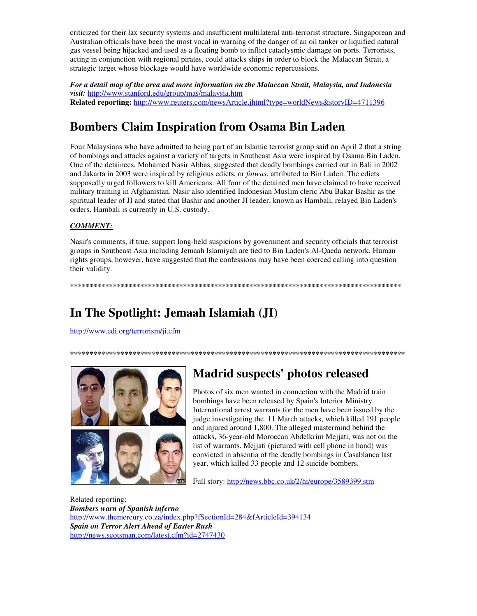criticized for their lax security systems and insufficient multilateral anti-terrorist structure. Singaporean and Australian officials have been the most vocal in warning of the danger of an oil tanker or liquified natural gas vessel being hijacked and used as a floating bomb to inflict cataclysmic damage on ports. Terrorists, acting in conjunction with regional pirates, could attacks ships in order to block the Malaccan Strait, a strategic target whose blockage would have worldwide economic repercussions.

*For a detail map of the area and more information on the Malaccan Strait, Malaysia, and Indonesia visit:* http://www.stanford.edu/group/mas/malaysia.htm **Related reporting:** http://www.reuters.com/newsArticle.jhtml?type=worldNews&storyID=4711396

# **Bombers Claim Inspiration from Osama Bin Laden**

Four Malaysians who have admitted to being part of an Islamic terrorist group said on April 2 that a string of bombings and attacks against a variety of targets in Southeast Asia were inspired by Osama Bin Laden. One of the detainees, Mohamed Nasir Abbas, suggested that deadly bombings carried out in Bali in 2002 and Jakarta in 2003 were inspired by religious edicts, or *fatwas*, attributed to Bin Laden. The edicts supposedly urged followers to kill Americans. All four of the detained men have claimed to have received military training in Afghanistan. Nasir also identified Indonesian Muslim cleric Abu Bakar Bashir as the spiritual leader of JI and stated that Bashir and another JI leader, known as Hambali, relayed Bin Laden's orders. Hambali is currently in U.S. custody.

#### *COMMENT:*

Nasir's comments, if true, support long-held suspicions by government and security officials that terrorist groups in Southeast Asia including Jemaah Islamiyah are tied to Bin Laden's Al-Qaeda network. Human rights groups, however, have suggested that the confessions may have been coerced calling into question their validity.

**\*\*\*\*\*\*\*\*\*\*\*\*\*\*\*\*\*\*\*\*\*\*\*\*\*\*\*\*\*\*\*\*\*\*\*\*\*\*\*\*\*\*\*\*\*\*\*\*\*\*\*\*\*\*\*\*\*\*\*\*\*\*\*\*\*\*\*\*\*\*\*\*\*\*\*\*\*\*\*\*\*\*\*\*\*** 

**\*\*\*\*\*\*\*\*\*\*\*\*\*\*\*\*\*\*\*\*\*\*\*\*\*\*\*\*\*\*\*\*\*\*\*\*\*\*\*\*\*\*\*\*\*\*\*\*\*\*\*\*\*\*\*\*\*\*\*\*\*\*\*\*\*\*\*\*\*\*\*\*\*\*\*\*\*\*\*\*\*\*\*\*\*\*** 

## **In The Spotlight: Jemaah Islamiah (JI)**

http://www.cdi.org/terrorism/ji.cfm



## **Madrid suspects' photos released**

Photos of six men wanted in connection with the Madrid train bombings have been released by Spain's Interior Ministry. International arrest warrants for the men have been issued by the judge investigating the 11 March attacks, which killed 191 people and injured around 1,800. The alleged mastermind behind the attacks, 36-year-old Moroccan Abdelkrim Mejjati, was not on the list of warrants. Mejjati (pictured with cell phone in hand) was convicted in absentia of the deadly bombings in Casablanca last year, which killed 33 people and 12 suicide bombers.

Full story: http://news.bbc.co.uk/2/hi/europe/3589399.stm

Related reporting: *Bombers warn of Spanish inferno* http://www.themercury.co.za/index.php?fSectionId=284&fArticleId=394134 *Spain on Terror Alert Ahead of Easter Rush*  http://news.scotsman.com/latest.cfm?id=2747430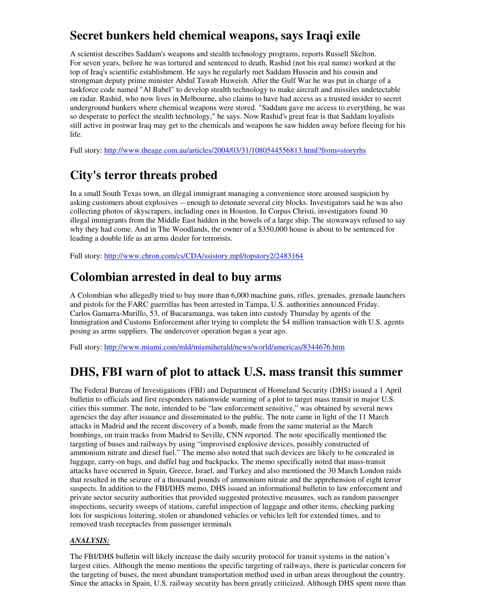## **Secret bunkers held chemical weapons, says Iraqi exile**

A scientist describes Saddam's weapons and stealth technology programs, reports Russell Skelton. For seven years, before he was tortured and sentenced to death, Rashid (not his real name) worked at the top of Iraq's scientific establishment. He says he regularly met Saddam Hussein and his cousin and strongman deputy prime minister Abdul Tawab Huweish. After the Gulf War he was put in charge of a taskforce code named "Al Babel" to develop stealth technology to make aircraft and missiles undetectable on radar. Rashid, who now lives in Melbourne, also claims to have had access as a trusted insider to secret underground bunkers where chemical weapons were stored. "Saddam gave me access to everything, he was so desperate to perfect the stealth technology," he says. Now Rashid's great fear is that Saddam loyalists still active in postwar Iraq may get to the chemicals and weapons he saw hidden away before fleeing for his life.

Full story: http://www.theage.com.au/articles/2004/03/31/1080544556813.html?from=storyrhs

## **City's terror threats probed**

In a small South Texas town, an illegal immigrant managing a convenience store aroused suspicion by asking customers about explosives -- enough to detonate several city blocks. Investigators said he was also collecting photos of skyscrapers, including ones in Houston. In Corpus Christi, investigators found 30 illegal immigrants from the Middle East hidden in the bowels of a large ship. The stowaways refused to say why they had come. And in The Woodlands, the owner of a \$350,000 house is about to be sentenced for leading a double life as an arms dealer for terrorists.

Full story: http://www.chron.com/cs/CDA/ssistory.mpl/topstory2/2483164

## **Colombian arrested in deal to buy arms**

A Colombian who allegedly tried to buy more than 6,000 machine guns, rifles, grenades, grenade launchers and pistols for the FARC guerrillas has been arrested in Tampa, U.S. authorities announced Friday. Carlos Gamarra-Murillo, 53, of Bucaramanga, was taken into custody Thursday by agents of the Immigration and Customs Enforcement after trying to complete the \$4 million transaction with U.S. agents posing as arms suppliers. The undercover operation began a year ago.

Full story: http://www.miami.com/mld/miamiherald/news/world/americas/8344676.htm

### **DHS, FBI warn of plot to attack U.S. mass transit this summer**

The Federal Bureau of Investigations (FBI) and Department of Homeland Security (DHS) issued a 1 April bulletin to officials and first responders nationwide warning of a plot to target mass transit in major U.S. cities this summer. The note, intended to be "law enforcement sensitive," was obtained by several news agencies the day after issuance and disseminated to the public. The note came in light of the 11 March attacks in Madrid and the recent discovery of a bomb, made from the same material as the March bombings, on train tracks from Madrid to Seville, CNN reported. The note specifically mentioned the targeting of buses and railways by using "improvised explosive devices, possibly constructed of ammonium nitrate and diesel fuel." The memo also noted that such devices are likely to be concealed in luggage, carry-on bags, and duffel bag and backpacks. The memo specifically noted that mass-transit attacks have occurred in Spain, Greece, Israel, and Turkey and also mentioned the 30 March London raids that resulted in the seizure of a thousand pounds of ammonium nitrate and the apprehension of eight terror suspects. In addition to the FBI/DHS memo, DHS issued an informational bulletin to law enforcement and private sector security authorities that provided suggested protective measures, such as random passenger inspections, security sweeps of stations, careful inspection of luggage and other items, checking parking lots for suspicious loitering, stolen or abandoned vehicles or vehicles left for extended times, and to removed trash receptacles from passenger terminals

#### *ANALYSIS:*

The FBI/DHS bulletin will likely increase the daily security protocol for transit systems in the nation's largest cities. Although the memo mentions the specific targeting of railways, there is particular concern for the targeting of buses, the most abundant transportation method used in urban areas throughout the country. Since the attacks in Spain, U.S. railway security has been greatly criticized. Although DHS spent more than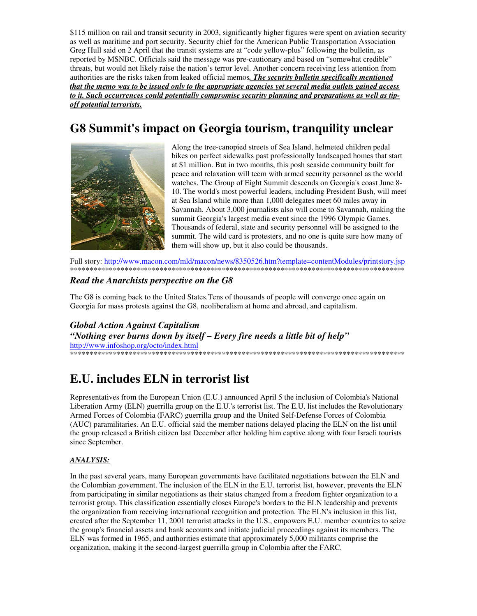\$115 million on rail and transit security in 2003, significantly higher figures were spent on aviation security as well as maritime and port security. Security chief for the American Public Transportation Association Greg Hull said on 2 April that the transit systems are at "code yellow-plus" following the bulletin, as reported by MSNBC. Officials said the message was pre-cautionary and based on "somewhat credible" threats, but would not likely raise the nation's terror level. Another concern receiving less attention from authorities are the risks taken from leaked official memos. The security bulletin specifically mentioned that the memo was to be issued only to the appropriate agencies yet several media outlets gained access to it. Such occurrences could potentially compromise security planning and preparations as well as tipoff potential terrorists.

## G8 Summit's impact on Georgia tourism, tranquility unclear



Along the tree-canopied streets of Sea Island, helmeted children pedal bikes on perfect sidewalks past professionally landscaped homes that start at \$1 million. But in two months, this posh seaside community built for peace and relaxation will teem with armed security personnel as the world watches. The Group of Eight Summit descends on Georgia's coast June 8-10. The world's most powerful leaders, including President Bush, will meet at Sea Island while more than 1,000 delegates meet 60 miles away in Savannah. About 3,000 journalists also will come to Savannah, making the summit Georgia's largest media event since the 1996 Olympic Games. Thousands of federal, state and security personnel will be assigned to the summit. The wild card is protesters, and no one is quite sure how many of them will show up, but it also could be thousands.

Full story: http://www.macon.com/mld/macon/news/8350526.htm?template=contentModules/printstory.jsp 

#### Read the Anarchists perspective on the G8

The G8 is coming back to the United States. Tens of thousands of people will converge once again on Georgia for mass protests against the G8, neoliberalism at home and abroad, and capitalism.

**Global Action Against Capitalism** "Nothing ever burns down by itself – Every fire needs a little bit of help"

http://www.infoshop.org/octo/index.html 

## E.U. includes ELN in terrorist list

Representatives from the European Union (E.U.) announced April 5 the inclusion of Colombia's National Liberation Army (ELN) guerrilla group on the E.U.'s terrorist list. The E.U. list includes the Revolutionary Armed Forces of Colombia (FARC) guerrilla group and the United Self-Defense Forces of Colombia (AUC) paramilitaries. An E.U. official said the member nations delayed placing the ELN on the list until the group released a British citizen last December after holding him captive along with four Israeli tourists since September.

#### ANALYSIS:

In the past several years, many European governments have facilitated negotiations between the ELN and the Colombian government. The inclusion of the ELN in the E.U. terrorist list, however, prevents the ELN from participating in similar negotiations as their status changed from a freedom fighter organization to a terrorist group. This classification essentially closes Europe's borders to the ELN leadership and prevents the organization from receiving international recognition and protection. The ELN's inclusion in this list, created after the September 11, 2001 terrorist attacks in the U.S., empowers E.U. member countries to seize the group's financial assets and bank accounts and initiate judicial proceedings against its members. The ELN was formed in 1965, and authorities estimate that approximately 5,000 militants comprise the organization, making it the second-largest guerrilla group in Colombia after the FARC.